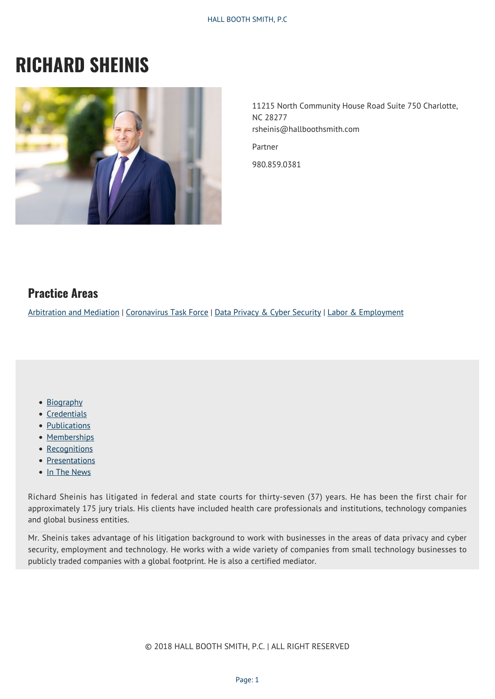# **RICHARD SHEINIS**



11215 North Community House Road Suite 750 Charlotte, NC 28277 rsheinis@hallboothsmith.com Partner

980.859.0381

### **Practice Areas**

[Arbitration and Mediation](https://hallboothsmith.com/page/alternative-dispute-resolution-arbitration/) | [Coronavirus Task Force](https://hallboothsmith.com/page/coronavirus-task-force/) | [Data Privacy & Cyber Security](http://hallboothsmith.com/page/data-privacy-and-security/) | [Labor & Employment](https://hallboothsmith.com/page/employment/)

- [Biography](#page--1-0)
- [Credentials](#page--1-0)
- [Publications](#page--1-0)
- [Memberships](#page--1-0)
- [Recognitions](#page--1-0)
- [Presentations](#page--1-0)
- [In The News](#page--1-0)

Richard Sheinis has litigated in federal and state courts for thirty-seven (37) years. He has been the first chair for approximately 175 jury trials. His clients have included health care professionals and institutions, technology companies and global business entities.

Mr. Sheinis takes advantage of his litigation background to work with businesses in the areas of data privacy and cyber security, employment and technology. He works with a wide variety of companies from small technology businesses to publicly traded companies with a global footprint. He is also a certified mediator.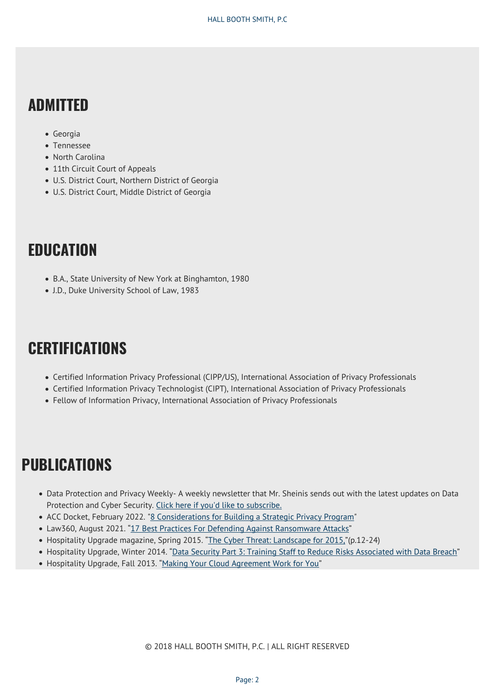### **ADMITTED**

- Georgia
- Tennessee
- North Carolina
- 11th Circuit Court of Appeals
- U.S. District Court, Northern District of Georgia
- U.S. District Court, Middle District of Georgia

## **EDUCATION**

- B.A., State University of New York at Binghamton, 1980
- J.D., Duke University School of Law, 1983

## **CERTIFICATIONS**

- Certified Information Privacy Professional (CIPP/US), International Association of Privacy Professionals
- Certified Information Privacy Technologist (CIPT), International Association of Privacy Professionals
- Fellow of Information Privacy, International Association of Privacy Professionals

## **PUBLICATIONS**

- Data Protection and Privacy Weekly- A weekly newsletter that Mr. Sheinis sends out with the latest updates on Data Protection and Cyber Security. [Click here if you'd like to subscribe.](http://visitor.r20.constantcontact.com/manage/optin/ea?v=001Nz0SB4C347NlMHGmCwRABQ%3D%3D)
- ACC Docket, February 2022. "[8 Considerations for Building a Strategic Privacy Program"](https://hallboothsmith.com/8-considerations-for-building-a-strategic-privacy-program-acc-docket/)
- Law360, August 2021. ["17 Best Practices For Defending Against Ransomware Attacks"](https://hallboothsmith.com/wp-content/uploads/2021/08/HBS_Sheinis-Lawrence-and-Langhorne-in-Law360_08-16-21.pdf)
- Hospitality Upgrade magazine, Spring 2015. ["The Cyber Threat: Landscape for 2015,](http://www.hallboothsmith.com/pdf/hospitalityupgrade.Sheinis.Parker.pdf)"(p.12-24)
- Hospitality Upgrade, Winter 2014. ["Data Security Part 3: Training Staff to Reduce Risks Associated with Data Breach"](http://www.hospitalityupgrade.com/_magazine/MagazineArticles/Data-Security-Part-3-Training-Staff-to-Reduce-Risks-Associated-with-Data-Breach.asp)
- Hospitality Upgrade, Fall 2013. "[Making Your Cloud Agreement Work for You"](http://www.hospitalityupgrade.com/_magazine/MagazineArticles/Making-Your-Cloud-Agreement-Work-for-You.asp)

© 2018 HALL BOOTH SMITH, P.C. | ALL RIGHT RESERVED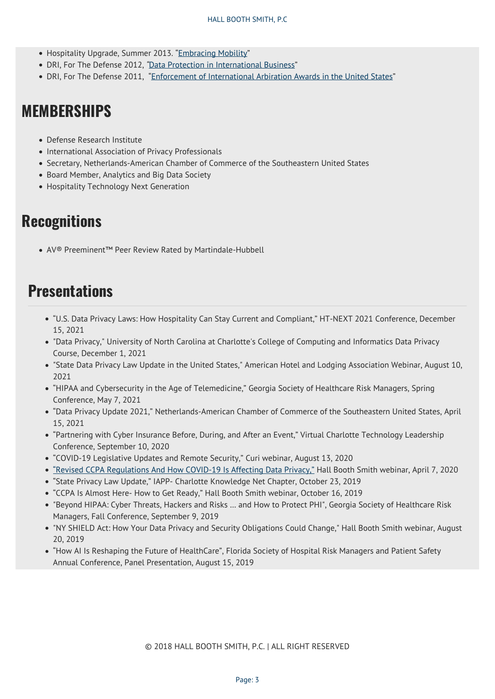- Hospitality Upgrade, Summer 2013. ["Embracing Mobility](http://www.hospitalityupgrade.com/_magazine/magazine_Detail.asp?ID=819)"
- DRI, For The Defense 2012, *"*[Data Protection in International Business"](http://www.hallboothsmith.com/pdf/May_2012_For_The_Defense_Author_Sheinis.pdf)
- DRI, For The Defense 2011, ["Enforcement of International Arbiration Awards in the United States"](http://www.hallboothsmith.com/documents/articles_whitepapers/FTD-1009-SheinisWingate.pdf)

## **MEMBERSHIPS**

- Defense Research Institute
- International Association of Privacy Professionals
- Secretary, Netherlands-American Chamber of Commerce of the Southeastern United States
- Board Member, Analytics and Big Data Society
- Hospitality Technology Next Generation

### **Recognitions**

AV® Preeminent™ Peer Review Rated by Martindale-Hubbell

### **Presentations**

- "U.S. Data Privacy Laws: How Hospitality Can Stay Current and Compliant," HT-NEXT 2021 Conference, December 15, 2021
- "Data Privacy," University of North Carolina at Charlotte's College of Computing and Informatics Data Privacy Course, December 1, 2021
- "State Data Privacy Law Update in the United States," American Hotel and Lodging Association Webinar, August 10, 2021
- "HIPAA and Cybersecurity in the Age of Telemedicine," Georgia Society of Healthcare Risk Managers, Spring Conference, May 7, 2021
- "Data Privacy Update 2021," Netherlands-American Chamber of Commerce of the Southeastern United States, April 15, 2021
- "Partnering with Cyber Insurance Before, During, and After an Event," Virtual Charlotte Technology Leadership Conference, September 10, 2020
- "COVID-19 Legislative Updates and Remote Security," Curi webinar, August 13, 2020
- ["Revised CCPA Regulations And How COVID-19 Is Affecting Data Privacy,"](https://www.youtube.com/watch?v=8_jMzjDtDJQ&t=4s) Hall Booth Smith webinar, April 7, 2020
- "State Privacy Law Update," IAPP- Charlotte Knowledge Net Chapter, October 23, 2019
- "CCPA Is Almost Here- How to Get Ready," Hall Booth Smith webinar, October 16, 2019
- "Beyond HIPAA: Cyber Threats, Hackers and Risks … and How to Protect PHI", Georgia Society of Healthcare Risk Managers, Fall Conference, September 9, 2019
- "NY SHIELD Act: How Your Data Privacy and Security Obligations Could Change," Hall Booth Smith webinar, August 20, 2019
- "How AI Is Reshaping the Future of HealthCare", Florida Society of Hospital Risk Managers and Patient Safety Annual Conference, Panel Presentation, August 15, 2019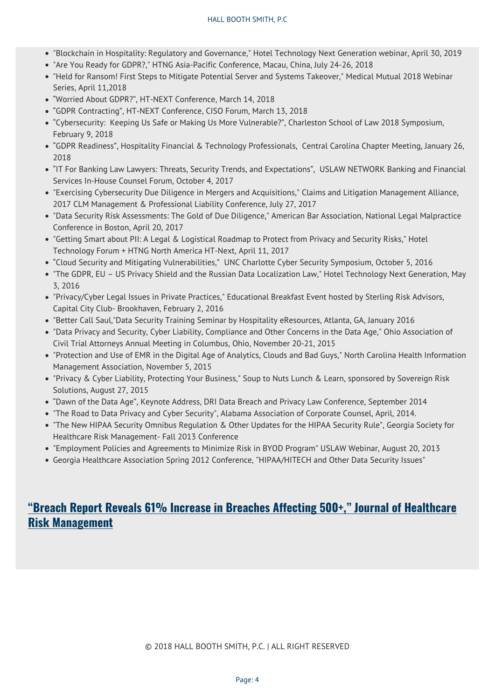#### HALL BOOTH SMITH, P.C

- "Blockchain in Hospitality: Regulatory and Governance," Hotel Technology Next Generation webinar, April 30, 2019
- "Are You Ready for GDPR?," HTNG Asia-Pacific Conference, Macau, China, July 24-26, 2018
- "Held for Ransom! First Steps to Mitigate Potential Server and Systems Takeover," Medical Mutual 2018 Webinar Series, April 11,2018
- "Worried About GDPR?", HT-NEXT Conference, March 14, 2018
- "GDPR Contracting", HT-NEXT Conference, CISO Forum, March 13, 2018
- "Cybersecurity: Keeping Us Safe or Making Us More Vulnerable?", Charleston School of Law 2018 Symposium, February 9, 2018
- "GDPR Readiness", Hospitality Financial & Technology Professionals, Central Carolina Chapter Meeting, January 26, 2018
- "IT For Banking Law Lawyers: Threats, Security Trends, and Expectations", USLAW NETWORK Banking and Financial Services In-House Counsel Forum, October 4, 2017
- "Exercising Cybersecurity Due Diligence in Mergers and Acquisitions," Claims and Litigation Management Alliance, 2017 CLM Management & Professional Liability Conference, July 27, 2017
- "Data Security Risk Assessments: The Gold of Due Diligence," American Bar Association, National Legal Malpractice Conference in Boston, April 20, 2017
- "Getting Smart about PII: A Legal & Logistical Roadmap to Protect from Privacy and Security Risks," Hotel Technology Forum + HTNG North America HT-Next, April 11, 2017
- "Cloud Security and Mitigating Vulnerabilities," UNC Charlotte Cyber Security Symposium, October 5, 2016
- "The GDPR, EU US Privacy Shield and the Russian Data Localization Law," Hotel Technology Next Generation, May 3, 2016
- "Privacy/Cyber Legal Issues in Private Practices," Educational Breakfast Event hosted by Sterling Risk Advisors, Capital City Club- Brookhaven, February 2, 2016
- "Better Call Saul,"Data Security Training Seminar by Hospitality eResources, Atlanta, GA, January 2016
- "Data Privacy and Security, Cyber Liability, Compliance and Other Concerns in the Data Age," Ohio Association of Civil Trial Attorneys Annual Meeting in Columbus, Ohio, November 20-21, 2015
- "Protection and Use of EMR in the Digital Age of Analytics, Clouds and Bad Guys," North Carolina Health Information Management Association, November 5, 2015
- "Privacy & Cyber Liability, Protecting Your Business," Soup to Nuts Lunch & Learn, sponsored by Sovereign Risk Solutions, August 27, 2015
- "Dawn of the Data Age", Keynote Address, DRI Data Breach and Privacy Law Conference, September 2014
- "The Road to Data Privacy and Cyber Security", Alabama Association of Corporate Counsel, April, 2014.
- "The New HIPAA Security Omnibus Regulation & Other Updates for the HIPAA Security Rule", Georgia Society for Healthcare Risk Management- Fall 2013 Conference
- "Employment Policies and Agreements to Minimize Risk in BYOD Program" USLAW Webinar, August 20, 2013
- Georgia Healthcare Association Spring 2012 Conference, "HIPAA/HITECH and Other Data Security Issues"

### **["Breach Report Reveals 61% Increase in Breaches Affecting 500+," Journal of Healthcare](https://hallboothsmith.com/breach-report-reveals-61-increase-in-breaches-affecting-500-journal-of-healthcare-risk-management/) [Risk Management](https://hallboothsmith.com/breach-report-reveals-61-increase-in-breaches-affecting-500-journal-of-healthcare-risk-management/)**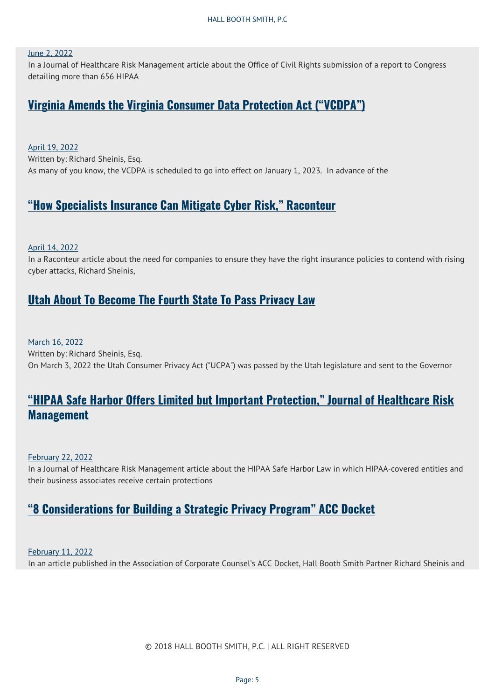#### [June 2, 2022](https://hallboothsmith.com/2022/06/)

In a Journal of Healthcare Risk Management article about the Office of Civil Rights submission of a report to Congress detailing more than 656 HIPAA

#### **[Virginia Amends the Virginia Consumer Data Protection Act \("VCDPA"\)](https://hallboothsmith.com/virginia-amends-the-virginia-consumer-data-protection-act-vcdpa/)**

[April 19, 2022](https://hallboothsmith.com/2022/04/) Written by: Richard Sheinis, Esq. As many of you know, the VCDPA is scheduled to go into effect on January 1, 2023. In advance of the

#### **["How Specialists Insurance Can Mitigate Cyber Risk," Raconteur](https://hallboothsmith.com/how-specialists-insurance-can-mitigate-cyber-risk-raconteur/)**

#### [April 14, 2022](https://hallboothsmith.com/2022/04/)

In a Raconteur article about the need for companies to ensure they have the right insurance policies to contend with rising cyber attacks, Richard Sheinis,

#### **[Utah About To Become The Fourth State To Pass Privacy Law](https://hallboothsmith.com/utah-about-to-become-the-fourth-state-to-pass-privacy-law/)**

[March 16, 2022](https://hallboothsmith.com/2022/03/) Written by: Richard Sheinis, Esq. On March 3, 2022 the Utah Consumer Privacy Act ("UCPA") was passed by the Utah legislature and sent to the Governor

### **["HIPAA Safe Harbor Offers Limited but Important Protection," Journal of Healthcare Risk](https://hallboothsmith.com/hipaa-safe-harbor-offers-limited-but-important-protection-journal-of-healthcare-risk-management/) [Management](https://hallboothsmith.com/hipaa-safe-harbor-offers-limited-but-important-protection-journal-of-healthcare-risk-management/)**

#### [February 22, 2022](https://hallboothsmith.com/2022/02/)

In a Journal of Healthcare Risk Management article about the HIPAA Safe Harbor Law in which HIPAA-covered entities and their business associates receive certain protections

### **["8 Considerations for Building a Strategic Privacy Program" ACC Docket](https://hallboothsmith.com/8-considerations-for-building-a-strategic-privacy-program-acc-docket/)**

[February 11, 2022](https://hallboothsmith.com/2022/02/)

In an article published in the Association of Corporate Counsel's ACC Docket, Hall Booth Smith Partner Richard Sheinis and

© 2018 HALL BOOTH SMITH, P.C. | ALL RIGHT RESERVED